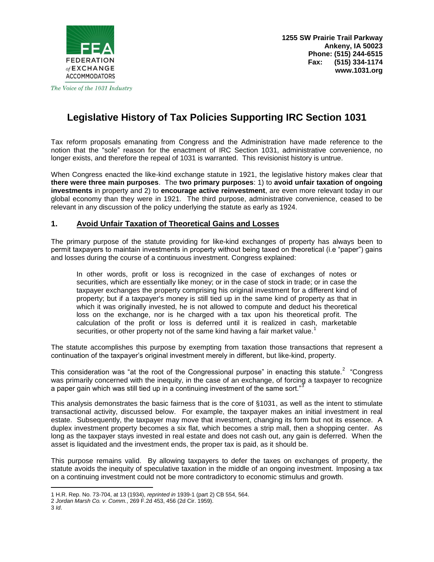

The Voice of the 1031 Industry

# **Legislative History of Tax Policies Supporting IRC Section 1031**

Tax reform proposals emanating from Congress and the Administration have made reference to the notion that the "sole" reason for the enactment of IRC Section 1031, administrative convenience, no longer exists, and therefore the repeal of 1031 is warranted. This revisionist history is untrue.

When Congress enacted the like-kind exchange statute in 1921, the legislative history makes clear that **there were three main purposes**. The **two primary purposes**: 1) to **avoid unfair taxation of ongoing investments** in property and 2) to **encourage active reinvestment**, are even more relevant today in our global economy than they were in 1921. The third purpose, administrative convenience, ceased to be relevant in any discussion of the policy underlying the statute as early as 1924.

## **1. Avoid Unfair Taxation of Theoretical Gains and Losses**

The primary purpose of the statute providing for like-kind exchanges of property has always been to permit taxpayers to maintain investments in property without being taxed on theoretical (i.e "paper") gains and losses during the course of a continuous investment. Congress explained:

In other words, profit or loss is recognized in the case of exchanges of notes or securities, which are essentially like money; or in the case of stock in trade; or in case the taxpayer exchanges the property comprising his original investment for a different kind of property; but if a taxpayer's money is still tied up in the same kind of property as that in which it was originally invested, he is not allowed to compute and deduct his theoretical loss on the exchange, nor is he charged with a tax upon his theoretical profit. The calculation of the profit or loss is deferred until it is realized in cash, marketable securities, or other property not of the same kind having a fair market value.<sup>1</sup>

The statute accomplishes this purpose by exempting from taxation those transactions that represent a continuation of the taxpayer's original investment merely in different, but like-kind, property.

This consideration was "at the root of the Congressional purpose" in enacting this statute.<sup>2</sup> "Congress was primarily concerned with the inequity, in the case of an exchange, of forcing a taxpayer to recognize a paper gain which was still tied up in a continuing investment of the same sort."<sup>3</sup>

This analysis demonstrates the basic fairness that is the core of §1031, as well as the intent to stimulate transactional activity, discussed below. For example, the taxpayer makes an initial investment in real estate. Subsequently, the taxpayer may move that investment, changing its form but not its essence. A duplex investment property becomes a six flat, which becomes a strip mall, then a shopping center. As long as the taxpayer stays invested in real estate and does not cash out, any gain is deferred. When the asset is liquidated and the investment ends, the proper tax is paid, as it should be.

This purpose remains valid. By allowing taxpayers to defer the taxes on exchanges of property, the statute avoids the inequity of speculative taxation in the middle of an ongoing investment. Imposing a tax on a continuing investment could not be more contradictory to economic stimulus and growth.

 $\overline{\phantom{a}}$ 1 H.R. Rep. No. 73-704, at 13 (1934), *reprinted in* 1939-1 (part 2) CB 554, 564.

<sup>2</sup> *Jordan Marsh Co. v. Comm.*, 269 F.2d 453, 456 (2d Cir. 1959).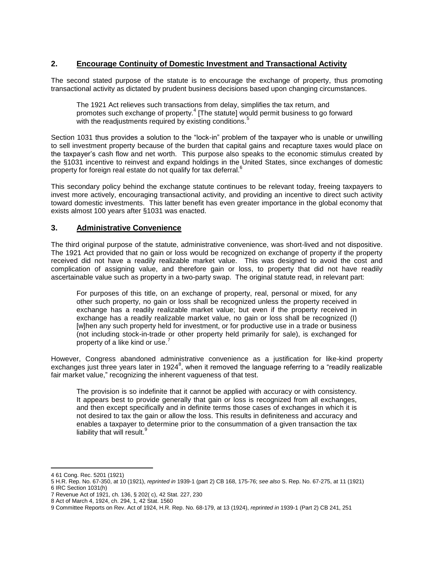# **2. Encourage Continuity of Domestic Investment and Transactional Activity**

The second stated purpose of the statute is to encourage the exchange of property, thus promoting transactional activity as dictated by prudent business decisions based upon changing circumstances.

The 1921 Act relieves such transactions from delay, simplifies the tax return, and promotes such exchange of property.<sup>4</sup> [The statute] would permit business to go forward with the readjustments required by existing conditions.<sup>5</sup>

Section 1031 thus provides a solution to the "lock-in" problem of the taxpayer who is unable or unwilling to sell investment property because of the burden that capital gains and recapture taxes would place on the taxpayer's cash flow and net worth. This purpose also speaks to the economic stimulus created by the §1031 incentive to reinvest and expand holdings in the United States, since exchanges of domestic property for foreign real estate do not qualify for tax deferral.<sup>6</sup>

This secondary policy behind the exchange statute continues to be relevant today, freeing taxpayers to invest more actively, encouraging transactional activity, and providing an incentive to direct such activity toward domestic investments. This latter benefit has even greater importance in the global economy that exists almost 100 years after §1031 was enacted.

# **3. Administrative Convenience**

The third original purpose of the statute, administrative convenience, was short-lived and not dispositive. The 1921 Act provided that no gain or loss would be recognized on exchange of property if the property received did not have a readily realizable market value. This was designed to avoid the cost and complication of assigning value, and therefore gain or loss, to property that did not have readily ascertainable value such as property in a two-party swap. The original statute read, in relevant part:

For purposes of this title, on an exchange of property, real, personal or mixed, for any other such property, no gain or loss shall be recognized unless the property received in exchange has a readily realizable market value; but even if the property received in exchange has a readily realizable market value, no gain or loss shall be recognized (I) [w]hen any such property held for investment, or for productive use in a trade or business (not including stock-in-trade or other property held primarily for sale), is exchanged for property of a like kind or use.<sup>7</sup>

However, Congress abandoned administrative convenience as a justification for like-kind property exchanges just three years later in 1924<sup>8</sup>, when it removed the language referring to a "readily realizable fair market value," recognizing the inherent vagueness of that test.

The provision is so indefinite that it cannot be applied with accuracy or with consistency. It appears best to provide generally that gain or loss is recognized from all exchanges, and then except specifically and in definite terms those cases of exchanges in which it is not desired to tax the gain or allow the loss. This results in definiteness and accuracy and enables a taxpayer to determine prior to the consummation of a given transaction the tax liability that will result.<sup>9</sup>

 $\overline{a}$ 

<sup>4</sup> 61 Cong. Rec. 5201 (1921)

<sup>5</sup> H.R. Rep. No. 67-350, at 10 (1921), *reprinted in* 1939-1 (part 2) CB 168, 175-76; *see also* S. Rep. No. 67-275, at 11 (1921) 6 IRC Section 1031(h)

<sup>7</sup> Revenue Act of 1921, ch. 136, § 202( c), 42 Stat. 227, 230

<sup>8</sup> Act of March 4, 1924, ch. 294, 1, 42 Stat. 1560

<sup>9</sup> Committee Reports on Rev. Act of 1924, H.R. Rep. No. 68-179, at 13 (1924), *reprinted in* 1939-1 (Part 2) CB 241, 251